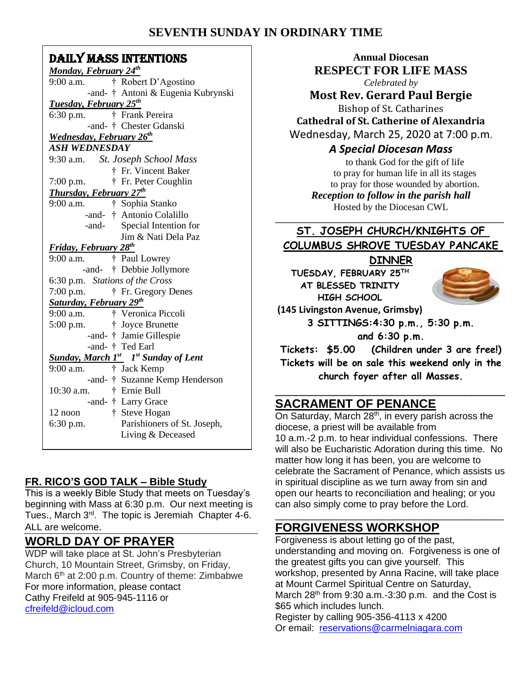## **SEVENTH SUNDAY IN ORDINARY TIME**

#### DAILY MASS INTENTIONS

| Monday, February 24th                       |
|---------------------------------------------|
| † Robert D'Agostino<br>$9:00$ a.m.          |
| -and- † Antoni & Eugenia Kubrynski          |
| <b>Tuesday, February 25th</b>               |
| † Frank Pereira<br>$6:30$ p.m.              |
| -and- † Chester Gdanski                     |
| Wednesday, February 26 <sup>th</sup>        |
| <b>ASH WEDNESDAY</b>                        |
| 9:30 a.m. St. Joseph School Mass            |
| † Fr. Vincent Baker                         |
| $7:00$ p.m.<br>† Fr. Peter Coughlin         |
| <b>Thursday, February 27th</b>              |
| † Sophia Stanko<br>$9:00$ a.m.              |
| -and- † Antonio Colalillo                   |
| Special Intention for<br>-and-              |
| Jim & Nati Dela Paz                         |
| <b>Friday, February 28th</b>                |
| $9:00$ a.m.<br>† Paul Lowrey                |
| -and- † Debbie Jollymore                    |
| 6:30 p.m. Stations of the Cross             |
| † Fr. Gregory Denes<br>$7:00$ p.m.          |
| <b>Saturday, February 29th</b>              |
| † Veronica Piccoli<br>$9:00$ a.m.           |
| $5:00$ p.m.<br>† Joyce Brunette             |
| -and- † Jamie Gillespie                     |
| -and- † Ted Earl                            |
| <b>Sunday, March 1st</b> 1st Sunday of Lent |
| 9:00 a.m.<br>† Jack Kemp                    |
| -and- † Suzanne Kemp Henderson              |
| † Ernie Bull<br>10:30 a.m.                  |
| -and- † Larry Grace                         |
| † Steve Hogan<br>12 noon                    |
| Parishioners of St. Joseph,<br>$6:30$ p.m.  |
| Living & Deceased                           |
|                                             |

### **FR. RICO'S GOD TALK – Bible Study**

This is a weekly Bible Study that meets on Tuesday's beginning with Mass at 6:30 p.m. Our next meeting is Tues., March 3<sup>rd</sup>. The topic is Jeremiah Chapter 4-6. ALL are welcome.

### **WORLD DAY OF PRAYER**

WDP will take place at St. John's Presbyterian Church, 10 Mountain Street, Grimsby, on Friday, March  $6<sup>th</sup>$  at 2:00 p.m. Country of theme: Zimbabwe For more information, please contact Cathy Freifeld at 905-945-1116 or [cfreifeld@icloud.com](mailto:cfreifeld@icloud.com)

**Annual Diocesan RESPECT FOR LIFE MASS** *Celebrated by* **Most Rev. Gerard Paul Bergie** Bishop of St. Catharines **Cathedral of St. Catherine of Alexandria** Wednesday, March 25, 2020 at 7:00 p.m. *A Special Diocesan Mass* to thank God for the gift of life

to pray for human life in all its stages to pray for those wounded by abortion. *Reception to follow in the parish hall* Hosted by the Diocesan CWL

# **ST. JOSEPH CHURCH/KNIGHTS OF COLUMBUS SHROVE TUESDAY PANCAKE**

\_\_\_\_\_\_\_\_\_\_\_\_\_\_\_\_\_\_\_\_\_\_\_\_\_\_\_\_\_\_\_\_\_\_\_\_\_\_\_\_\_\_\_

**DINNER**

**TUESDAY, FEBRUARY 25TH AT BLESSED TRINITY HIGH SCHOOL**



**(145 Livingston Avenue, Grimsby)**

**3 SITTINGS:4:30 p.m., 5:30 p.m.**

**and 6:30 p.m.**

**Tickets: \$5.00 (Children under 3 are free!) Tickets will be on sale this weekend only in the church foyer after all Masses.**

### \_\_\_\_\_\_\_\_\_\_\_\_\_\_\_\_\_\_\_\_\_\_\_\_\_\_\_\_\_\_\_\_\_\_ **SACRAMENT OF PENANCE**

On Saturday, March  $28<sup>th</sup>$ , in every parish across the diocese, a priest will be available from 10 a.m.-2 p.m. to hear individual confessions. There will also be Eucharistic Adoration during this time. No matter how long it has been, you are welcome to celebrate the Sacrament of Penance, which assists us in spiritual discipline as we turn away from sin and open our hearts to reconciliation and healing; or you can also simply come to pray before the Lord.

#### \_\_\_\_\_\_\_\_\_\_\_\_\_\_\_\_\_\_\_\_\_\_\_\_\_\_\_\_\_\_\_\_\_\_\_\_\_\_\_\_\_\_\_ **FORGIVENESS WORKSHOP**

Forgiveness is about letting go of the past, understanding and moving on. Forgiveness is one of the greatest gifts you can give yourself. This workshop, presented by Anna Racine, will take place at Mount Carmel Spiritual Centre on Saturday, March  $28<sup>th</sup>$  from 9:30 a.m.-3:30 p.m. and the Cost is \$65 which includes lunch.

Register by calling 905-356-4113 x 4200 Or email: [reservations@carmelniagara.com](mailto:reservations@carmelniagara.com)